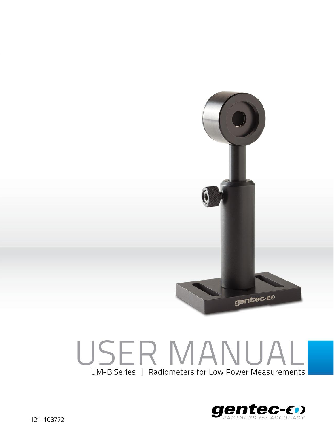

## environments would include, but are not limited to excessive temperature, vibration, humidity (>80%), or surface contaminants; exposure to flame, solvents or water; and connection to improper electrical voltage. UM-B Series | Radiometers for Low Power Measurements

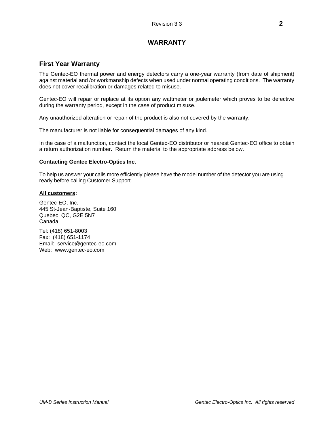## **WARRANTY**

#### **First Year Warranty**

The Gentec-EO thermal power and energy detectors carry a one-year warranty (from date of shipment) against material and /or workmanship defects when used under normal operating conditions. The warranty does not cover recalibration or damages related to misuse.

Gentec-EO will repair or replace at its option any wattmeter or joulemeter which proves to be defective during the warranty period, except in the case of product misuse.

Any unauthorized alteration or repair of the product is also not covered by the warranty.

The manufacturer is not liable for consequential damages of any kind.

In the case of a malfunction, contact the local Gentec-EO distributor or nearest Gentec-EO office to obtain a return authorization number. Return the material to the appropriate address below.

#### **Contacting Gentec Electro-Optics Inc.**

To help us answer your calls more efficiently please have the model number of the detector you are using ready before calling Customer Support.

#### **All customers:**

Gentec-EO, Inc. 445 St-Jean-Baptiste, Suite 160 Quebec, QC, G2E 5N7 Canada

Tel: (418) 651-8003 Fax: (418) 651-1174 Email: service@gentec-eo.com Web: www.gentec-eo.com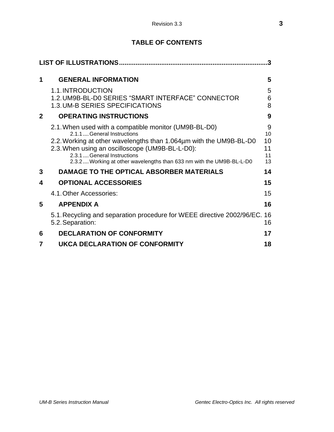## **TABLE OF CONTENTS**

|              |                                                                                                                                                                                                                                                                                                                    | 3                               |
|--------------|--------------------------------------------------------------------------------------------------------------------------------------------------------------------------------------------------------------------------------------------------------------------------------------------------------------------|---------------------------------|
| 1            | <b>GENERAL INFORMATION</b>                                                                                                                                                                                                                                                                                         | 5                               |
|              | 1.1. INTRODUCTION<br>1.2. UM9B-BL-D0 SERIES "SMART INTERFACE" CONNECTOR<br>1.3. UM-B SERIES SPECIFICATIONS                                                                                                                                                                                                         | 5<br>6<br>8                     |
| $\mathbf{2}$ | <b>OPERATING INSTRUCTIONS</b>                                                                                                                                                                                                                                                                                      | 9                               |
|              | 2.1. When used with a compatible monitor (UM9B-BL-D0)<br>2.1.1General Instructions<br>2.2. Working at other wavelengths than 1.064µm with the UM9B-BL-D0<br>2.3. When using an oscilloscope (UM9B-BL-L-D0):<br>2.3.1  General Instructions<br>2.3.2 Working at other wavelengths than 633 nm with the UM9B-BL-L-D0 | 9<br>10<br>10<br>11<br>11<br>13 |
| 3            | DAMAGE TO THE OPTICAL ABSORBER MATERIALS                                                                                                                                                                                                                                                                           | 14                              |
| 4            | <b>OPTIONAL ACCESSORIES</b>                                                                                                                                                                                                                                                                                        | 15                              |
|              | 4.1. Other Accessories:                                                                                                                                                                                                                                                                                            | 15                              |
| 5            | <b>APPENDIX A</b>                                                                                                                                                                                                                                                                                                  | 16                              |
|              | 5.1. Recycling and separation procedure for WEEE directive 2002/96/EC.<br>5.2. Separation:                                                                                                                                                                                                                         | 16<br>16                        |
| 6            | <b>DECLARATION OF CONFORMITY</b>                                                                                                                                                                                                                                                                                   | 17                              |
| 7            | <b>UKCA DECLARATION OF CONFORMITY</b>                                                                                                                                                                                                                                                                              | 18                              |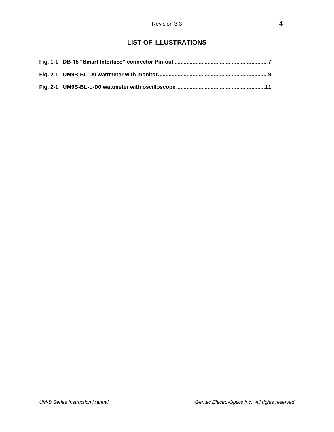## **LIST OF ILLUSTRATIONS**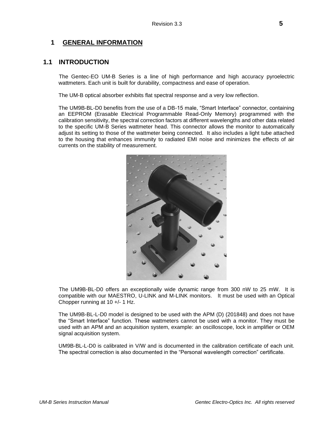#### <span id="page-4-0"></span>**1 GENERAL INFORMATION**

#### <span id="page-4-1"></span>**1.1 INTRODUCTION**

The Gentec-EO UM-B Series is a line of high performance and high accuracy pyroelectric wattmeters. Each unit is built for durability, compactness and ease of operation.

The UM-B optical absorber exhibits flat spectral response and a very low reflection.

The UM9B-BL-D0 benefits from the use of a DB-15 male, "Smart Interface" connector, containing an EEPROM (Erasable Electrical Programmable Read-Only Memory) programmed with the calibration sensitivity, the spectral correction factors at different wavelengths and other data related to the specific UM-B Series wattmeter head. This connector allows the monitor to automatically adjust its setting to those of the wattmeter being connected. It also includes a light tube attached to the housing that enhances immunity to radiated EMI noise and minimizes the effects of air currents on the stability of measurement.



The UM9B-BL-D0 offers an exceptionally wide dynamic range from 300 nW to 25 mW. It is compatible with our MAESTRO, U-LINK and M-LINK monitors. It must be used with an Optical Chopper running at 10 +/- 1 Hz.

The UM9B-BL-L-D0 model is designed to be used with the APM (D) (201848) and does not have the "Smart Interface" function. These wattmeters cannot be used with a monitor. They must be used with an APM and an acquisition system, example: an oscilloscope, lock in amplifier or OEM signal acquisition system.

UM9B-BL-L-D0 is calibrated in V/W and is documented in the calibration certificate of each unit. The spectral correction is also documented in the "Personal wavelength correction" certificate.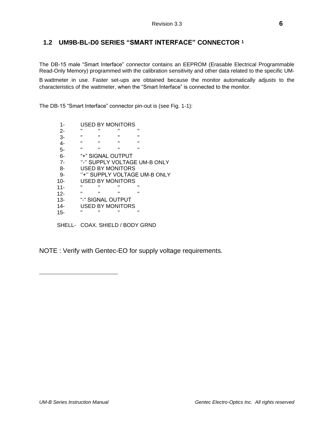#### <span id="page-5-0"></span>**1.2 UM9B-BL-D0 SERIES "SMART INTERFACE" CONNECTOR <sup>1</sup>**

The DB-15 male "Smart Interface" connector contains an EEPROM (Erasable Electrical Programmable Read-Only Memory) programmed with the calibration sensitivity and other data related to the specific UM-

B wattmeter in use. Faster set-ups are obtained because the monitor automatically adjusts to the characteristics of the wattmeter, when the "Smart Interface" is connected to the monitor.

The DB-15 "Smart Interface" connector pin-out is (see Fig. 1-1):

| 1-                              | <b>USED BY MONITORS</b> |                         |                |                              |
|---------------------------------|-------------------------|-------------------------|----------------|------------------------------|
| 2-                              | п                       |                         | $\blacksquare$ | п                            |
| $3-$                            | п                       | $\blacksquare$          | $\blacksquare$ | Ħ                            |
| $4-$                            | п                       | п                       | $\blacksquare$ | $\blacksquare$               |
| 5-                              | $\mathbf{H}$            | $\blacksquare$          | $\blacksquare$ | $\mathbf{u}$                 |
| $6-$                            |                         | "+" SIGNAL OUTPUT       |                |                              |
| $7-$                            |                         |                         |                | "-" SUPPLY VOLTAGE UM-B ONLY |
| 8-                              |                         | <b>USED BY MONITORS</b> |                |                              |
| 9-                              |                         |                         |                | "+" SUPPLY VOLTAGE UM-B ONLY |
| $10 -$                          |                         | USED BY MONITORS        |                |                              |
| $11 -$                          | п                       | π                       | π              | п                            |
| $12 -$                          | $\mathbf{H}$            | $\blacksquare$          | $\blacksquare$ | п                            |
| $13-$                           | "-" SIGNAL OUTPUT       |                         |                |                              |
| $14-$                           |                         | USED BY MONITORS        |                |                              |
| $15 -$                          | п                       | $\blacksquare$          | П              | п                            |
| SHELL- COAX. SHIELD / BODY GRND |                         |                         |                |                              |

NOTE : Verify with Gentec-EO for supply voltage requirements.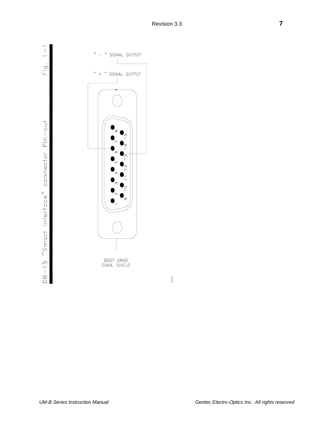Fig.  $1-1$ 

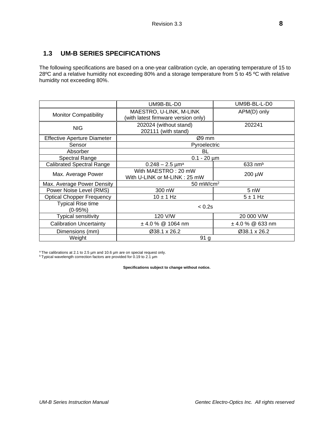## <span id="page-7-0"></span>**1.3 UM-B SERIES SPECIFICATIONS**

The following specifications are based on a one-year calibration cycle, an operating temperature of 15 to 28ºC and a relative humidity not exceeding 80% and a storage temperature from 5 to 45 ºC with relative humidity not exceeding 80%.

|                                            | UM9B-BL-D0                                                     | UM9B-BL-L-D0          |  |
|--------------------------------------------|----------------------------------------------------------------|-----------------------|--|
| <b>Monitor Compatibility</b>               | MAESTRO, U-LINK, M-LINK<br>(with latest firmware version only) | APM(D) only           |  |
| <b>NIG</b>                                 | 202024 (without stand)<br>202111 (with stand)                  | 202241                |  |
| <b>Effective Aperture Diameter</b>         | Ø9 mm                                                          |                       |  |
| Sensor                                     | Pyroelectric                                                   |                       |  |
| Absorber                                   | BL                                                             |                       |  |
| <b>Spectral Range</b>                      | $0.1 - 20 \mu m$                                               |                       |  |
| <b>Calibrated Spectral Range</b>           | $0.248 - 2.5$ µm <sup>a</sup>                                  | $633$ nm <sup>b</sup> |  |
| Max. Average Power                         | With MAESTRO: 20 mW<br>With U-LINK or M-LINK: 25 mW            | 200 µW                |  |
| Max. Average Power Density<br>50 mW/cm $2$ |                                                                |                       |  |
| Power Noise Level (RMS)                    | 300 nW                                                         | 5 nW                  |  |
| <b>Optical Chopper Frequency</b>           | $10 \pm 1$ Hz                                                  | $5 \pm 1$ Hz          |  |
| <b>Typical Rise time</b><br>$(0-95%)$      | < 0.2s                                                         |                       |  |
| <b>Typical sensitivity</b>                 | 120 V/W<br>20 000 V/W                                          |                       |  |
| <b>Calibration Uncertainty</b>             | ± 4.0 % @ 1064 nm                                              | $±$ 4.0 % @ 633 nm    |  |
| Dimensions (mm)                            | Ø38.1 x 26.2                                                   | Ø38.1 x 26.2          |  |
| Weight                                     | 91 g                                                           |                       |  |

<sup>a</sup>The calibrations at 2.1 to 2.5 µm and 10.6 µm are on special request only.

b Typical wavelength correction factors are provided for 0.19 to 2.1 µm

**Specifications subject to change without notice.**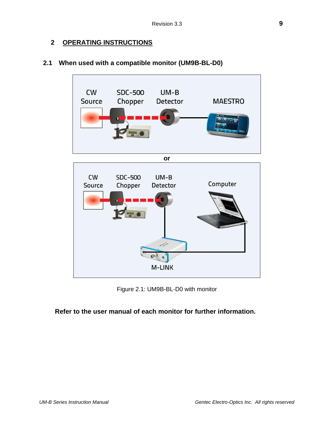## <span id="page-8-0"></span>**2 OPERATING INSTRUCTIONS**



## <span id="page-8-1"></span>**2.1 When used with a compatible monitor (UM9B-BL-D0)**

Figure 2.1: UM9B-BL-D0 with monitor

## **Refer to the user manual of each monitor for further information.**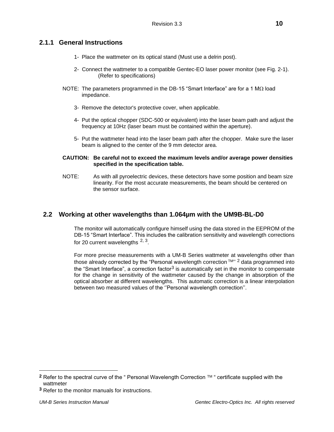#### <span id="page-9-0"></span>**2.1.1 General Instructions**

- 1- Place the wattmeter on its optical stand (Must use a delrin post).
- 2- Connect the wattmeter to a compatible Gentec-EO laser power monitor (see Fig. 2-1). (Refer to specifications)
- NOTE: The parameters programmed in the DB-15 "Smart Interface" are for a 1  $\text{M}\Omega$  load impedance.
	- 3- Remove the detector's protective cover, when applicable.
	- 4- Put the optical chopper (SDC-500 or equivalent) into the laser beam path and adjust the frequency at 10Hz (laser beam must be contained within the aperture).
	- 5- Put the wattmeter head into the laser beam path after the chopper. Make sure the laser beam is aligned to the center of the 9 mm detector area.

#### **CAUTION: Be careful not to exceed the maximum levels and/or average power densities specified in the specification table.**

NOTE: As with all pyroelectric devices, these detectors have some position and beam size linearity. For the most accurate measurements, the beam should be centered on the sensor surface.

#### <span id="page-9-1"></span>**2.2 Working at other wavelengths than 1.064µm with the UM9B-BL-D0**

The monitor will automatically configure himself using the data stored in the EEPROM of the DB-15 "Smart Interface". This includes the calibration sensitivity and wavelength corrections for 20 current wavelengths  $2, 3$ .

For more precise measurements with a UM-B Series wattmeter at wavelengths other than those already corrected by the "Personal wavelength correction ™" <sup>2</sup> data programmed into the "Smart Interface", a correction factor<sup>3</sup> is automatically set in the monitor to compensate for the change in sensitivity of the wattmeter caused by the change in absorption of the optical absorber at different wavelengths. This automatic correction is a linear interpolation between two measured values of the ''Personal wavelength correction''.

**<sup>2</sup>** Refer to the spectral curve of the " Personal Wavelength Correction TM " certificate supplied with the wattmeter

**<sup>3</sup>** Refer to the monitor manuals for instructions.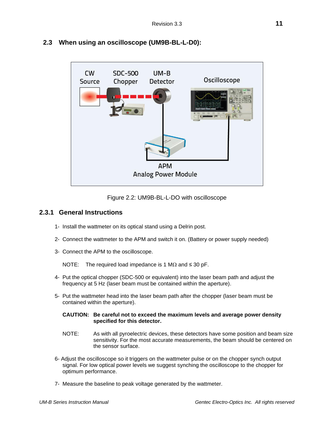

### <span id="page-10-0"></span>**2.3 When using an oscilloscope (UM9B-BL-L-D0):**



#### <span id="page-10-1"></span>**2.3.1 General Instructions**

- 1- Install the wattmeter on its optical stand using a Delrin post.
- 2- Connect the wattmeter to the APM and switch it on. (Battery or power supply needed)
- 3- Connect the APM to the oscilloscope.

NOTE: The required load impedance is 1 M $\Omega$  and  $\leq$  30 pF.

- 4- Put the optical chopper (SDC-500 or equivalent) into the laser beam path and adjust the frequency at 5 Hz (laser beam must be contained within the aperture).
- 5- Put the wattmeter head into the laser beam path after the chopper (laser beam must be contained within the aperture).

#### **CAUTION: Be careful not to exceed the maximum levels and average power density specified for this detector.**

- NOTE: As with all pyroelectric devices, these detectors have some position and beam size sensitivity. For the most accurate measurements, the beam should be centered on the sensor surface.
- 6- Adjust the oscilloscope so it triggers on the wattmeter pulse or on the chopper synch output signal. For low optical power levels we suggest synching the oscilloscope to the chopper for optimum performance.
- 7- Measure the baseline to peak voltage generated by the wattmeter.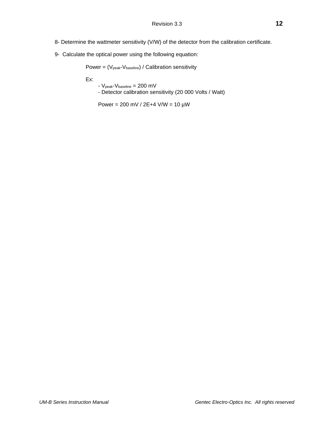- 8- Determine the wattmeter sensitivity (V/W) of the detector from the calibration certificate.
- 9- Calculate the optical power using the following equation:

Power =  $(V_{\text{peak}}-V_{\text{baseline}})$  / Calibration sensitivity

Ex:

- Vpeak-Vbaseline = 200 mV
- Detector calibration sensitivity (20 000 Volts / Watt)

Power = 200 mV / 2E+4 V/W = 10 µW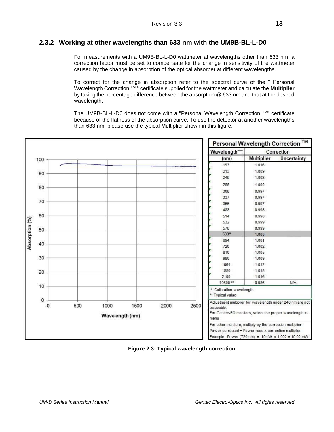#### <span id="page-12-0"></span>**2.3.2 Working at other wavelengths than 633 nm with the UM9B-BL-L-D0**

For measurements with a UM9B-BL-L-D0 wattmeter at wavelengths other than 633 nm, a correction factor must be set to compensate for the change in sensitivity of the wattmeter caused by the change in absorption of the optical absorber at different wavelengths.

To correct for the change in absorption refer to the spectral curve of the " Personal Wavelength Correction TM " certificate supplied for the wattmeter and calculate the **Multiplier** by taking the percentage difference between the absorption @ 633 nm and that at the desired wavelength.

The UM9B-BL-L-D0 does not come with a "Personal Wavelength Correction TM" certificate because of the flatness of the absorption curve. To use the detector at another wavelengths than 633 nm, please use the typical Multiplier shown in this figure.



**Figure 2.3: Typical wavelength correction**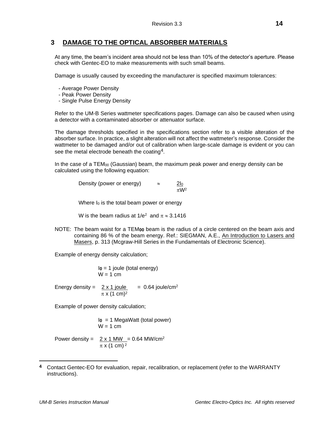#### <span id="page-13-0"></span>**3 DAMAGE TO THE OPTICAL ABSORBER MATERIALS**

At any time, the beam's incident area should not be less than 10% of the detector's aperture. Please check with Gentec-EO to make measurements with such small beams.

Damage is usually caused by exceeding the manufacturer is specified maximum tolerances:

- Average Power Density
- Peak Power Density
- Single Pulse Energy Density

Refer to the UM-B Series wattmeter specifications pages. Damage can also be caused when using a detector with a contaminated absorber or attenuator surface.

The damage thresholds specified in the specifications section refer to a visible alteration of the absorber surface. In practice, a slight alteration will not affect the wattmeter's response. Consider the wattmeter to be damaged and/or out of calibration when large-scale damage is evident or you can see the metal electrode beneath the coating4.

In the case of a  $TEM_{00}$  (Gaussian) beam, the maximum peak power and energy density can be calculated using the following equation:

> Density (power or energy)  $\approx$  2l<sub>0</sub>  $\pi W^2$

Where  $I_0$  is the total beam power or energy

W is the beam radius at  $1/e^2$  and  $\pi \approx 3.1416$ 

NOTE: The beam waist for a TEM**00** beam is the radius of a circle centered on the beam axis and containing 86 % of the beam energy. Ref.: SIEGMAN, A.E., An Introduction to Lasers and Masers, p. 313 (Mcgraw-Hill Series in the Fundamentals of Electronic Science).

Example of energy density calculation;

I**0** = 1 joule (total energy)  $W = 1$  cm

Energy density =  $2 \times 1$  joule = 0.64 joule/cm<sup>2</sup>  $\pi$  x (1 cm)<sup>2</sup>

Example of power density calculation;

I**0** = 1 MegaWatt (total power)  $W = 1$  cm

Power density =  $2 \times 1$  MW = 0.64 MW/cm<sup>2</sup>  $\pi$  x (1 cm)<sup>2</sup>

**<sup>4</sup>** Contact Gentec-EO for evaluation, repair, recalibration, or replacement (refer to the WARRANTY instructions).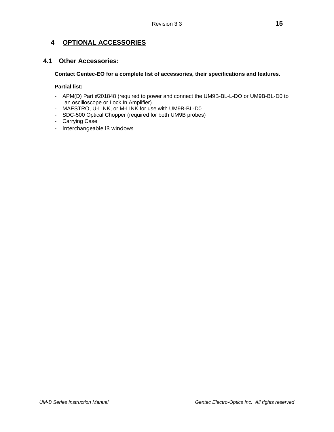## <span id="page-14-0"></span>**4 OPTIONAL ACCESSORIES**

#### <span id="page-14-1"></span>**4.1 Other Accessories:**

#### **Contact Gentec-EO for a complete list of accessories, their specifications and features.**

#### **Partial list:**

- APM(D) Part #201848 (required to power and connect the UM9B-BL-L-DO or UM9B-BL-D0 to an oscilloscope or Lock In Amplifier).
- MAESTRO, U-LINK, or M-LINK for use with UM9B-BL-D0
- SDC-500 Optical Chopper (required for both UM9B probes)
- Carrying Case
- Interchangeable IR windows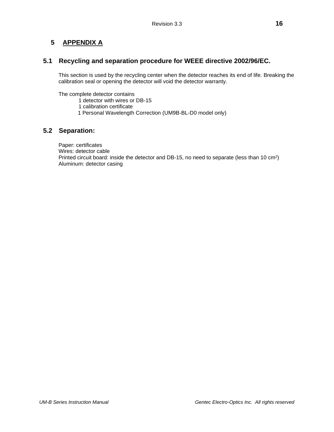## <span id="page-15-0"></span>**5 APPENDIX A**

#### <span id="page-15-1"></span>**5.1 Recycling and separation procedure for WEEE directive 2002/96/EC.**

This section is used by the recycling center when the detector reaches its end of life. Breaking the calibration seal or opening the detector will void the detector warranty.

The complete detector contains

- 1 detector with wires or DB-15
- 1 calibration certificate
- 1 Personal Wavelength Correction (UM9B-BL-D0 model only)

#### <span id="page-15-2"></span>**5.2 Separation:**

Paper: certificates Wires: detector cable Printed circuit board: inside the detector and DB-15, no need to separate (less than 10 cm<sup>2</sup>) Aluminum: detector casing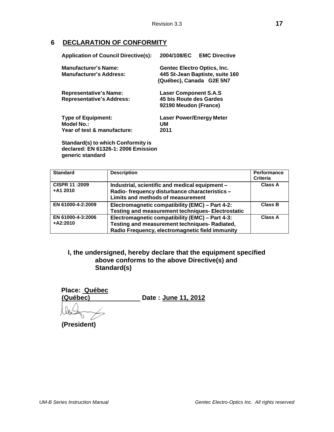## <span id="page-16-0"></span>**6 DECLARATION OF CONFORMITY**

| <b>Application of Council Directive(s):</b> | <b>EMC Directive</b><br>2004/108/EC |  |  |
|---------------------------------------------|-------------------------------------|--|--|
| <b>Manufacturer's Name:</b>                 | <b>Gentec Electro Optics, Inc.</b>  |  |  |
| <b>Manufacturer's Address:</b>              | 445 St-Jean Baptiste, suite 160     |  |  |
|                                             | (Québec), Canada G2E 5N7            |  |  |
| <b>Representative's Name:</b>               | <b>Laser Component S.A.S</b>        |  |  |
| <b>Representative's Address:</b>            | 45 bis Route des Gardes             |  |  |
|                                             | 92190 Meudon (France)               |  |  |
| <b>Type of Equipment:</b>                   | Laser Power/Energy Meter            |  |  |
| Model No.:                                  | UМ                                  |  |  |
| Year of test & manufacture:                 | 2011                                |  |  |
|                                             |                                     |  |  |

**Standard(s) to which Conformity is declared: EN 61326-1: 2006 Emission generic standard**

| <b>Standard</b>                     | <b>Description</b>                                                                                                                                  | Performance<br>Criteria |
|-------------------------------------|-----------------------------------------------------------------------------------------------------------------------------------------------------|-------------------------|
| <b>CISPR 11:2009</b><br>$+ A1 2010$ | Industrial, scientific and medical equipment -<br>Radio- frequency disturbance characteristics -<br>Limits and methods of measurement               | Class A                 |
| EN 61000-4-2:2009                   | Electromagnetic compatibility (EMC) - Part 4-2:<br><b>Testing and measurement techniques- Electrostatic</b>                                         | Class B                 |
| EN 61000-4-3:2006<br>$+A2:2010$     | Electromagnetic compatibility (EMC) - Part 4-3:<br>Testing and measurement techniques- Radiated,<br>Radio Frequency, electromagnetic field immunity | Class A                 |

### **I, the undersigned, hereby declare that the equipment specified above conforms to the above Directive(s) and Standard(s)**

| Place: Québec<br>(Québec) | Date: June 11, 2012 |
|---------------------------|---------------------|
|                           |                     |

**(President)**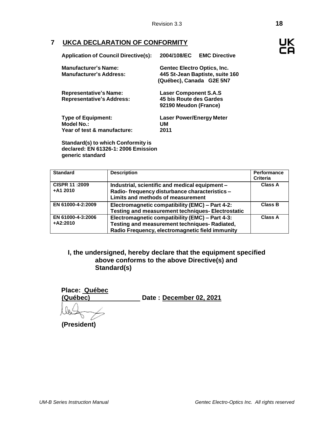## <span id="page-17-0"></span>**7 UKCA DECLARATION OF CONFORMITY**

| <b>Application of Council Directive(s):</b>                            | 2004/108/EC<br><b>EMC Directive</b>                                                        |
|------------------------------------------------------------------------|--------------------------------------------------------------------------------------------|
| <b>Manufacturer's Name:</b><br><b>Manufacturer's Address:</b>          | Gentec Electro Optics, Inc.<br>445 St-Jean Baptiste, suite 160<br>(Québec), Canada G2E 5N7 |
| <b>Representative's Name:</b><br><b>Representative's Address:</b>      | <b>Laser Component S.A.S</b><br>45 bis Route des Gardes<br>92190 Meudon (France)           |
| <b>Type of Equipment:</b><br>Model No.:<br>Year of test & manufacture: | <b>Laser Power/Energy Meter</b><br>UМ<br>2011                                              |

**Standard(s) to which Conformity is declared: EN 61326-1: 2006 Emission generic standard**

| <b>Standard</b>                    | <b>Description</b>                                                                                                                                  | Performance<br><b>Criteria</b> |
|------------------------------------|-----------------------------------------------------------------------------------------------------------------------------------------------------|--------------------------------|
| <b>CISPR 11:2009</b><br>$+ A12010$ | Industrial, scientific and medical equipment -<br>Radio- frequency disturbance characteristics -<br>Limits and methods of measurement               | Class A                        |
| EN 61000-4-2:2009                  | Electromagnetic compatibility (EMC) - Part 4-2:<br><b>Testing and measurement techniques- Electrostatic</b>                                         | <b>Class B</b>                 |
| EN 61000-4-3:2006<br>$+ A2:2010$   | Electromagnetic compatibility (EMC) - Part 4-3:<br>Testing and measurement techniques- Radiated,<br>Radio Frequency, electromagnetic field immunity | Class A                        |

### **I, the undersigned, hereby declare that the equipment specified above conforms to the above Directive(s) and Standard(s)**

| <b>Place: Québec</b><br>(Québec) | Date: December 02, 2021 |
|----------------------------------|-------------------------|
|                                  |                         |

**(President)**



**UK** CQ